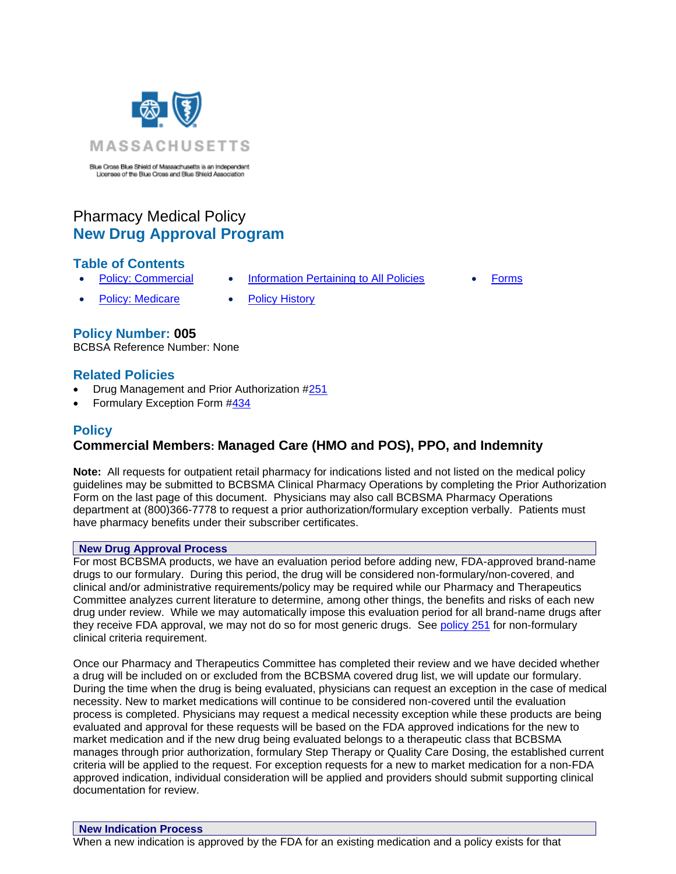

Blue Cross Blue Shield of Massachusetts is an Independent Licensee of the Blue Cross and Blue Shield Association

# Pharmacy Medical Policy **New Drug Approval Program**

# **Table of Contents**

- 
- **[Policy: Commercial](file://///BOS0105FAP04.BCBSMAMD.NET/PUBLIC/FE/Pharmacy%20Medical%20Policy/In%20Development_Not_Final_Do%20Not%20Use/Work_in_Progress/Revised%20and%20Ready%204%20Review/For_Final_Reviewes/Sept_005_Pharmacy_New%20Drug%20Approval.docx%23Policy_Commercial) [Information Pertaining to All Policies](file://///BOS0105FAP04.BCBSMAMD.NET/PUBLIC/FE/Pharmacy%20Medical%20Policy/In%20Development_Not_Final_Do%20Not%20Use/Work_in_Progress/Revised%20and%20Ready%204%20Review/For_Final_Reviewes/Sept_005_Pharmacy_New%20Drug%20Approval.docx%23All_Policy_Info) [Forms](http://www.bluecrossma.org/medical-policies/sites/g/files/csphws2091/files/acquiadam-assets/023%20E%20Form%20medication%20prior%20auth%20instruction%20prn.pdf)**
- 

- [Policy: Medicare](file://///BOS0105FAP04.BCBSMAMD.NET/PUBLIC/FE/Pharmacy%20Medical%20Policy/In%20Development_Not_Final_Do%20Not%20Use/Work_in_Progress/Revised%20and%20Ready%204%20Review/For_Final_Reviewes/Sept_005_Pharmacy_New%20Drug%20Approval.docx%23Policy_Commercial) [Policy History](file://///BOS0105FAP04.BCBSMAMD.NET/PUBLIC/FE/Pharmacy%20Medical%20Policy/In%20Development_Not_Final_Do%20Not%20Use/Work_in_Progress/Revised%20and%20Ready%204%20Review/For_Final_Reviewes/Sept_005_Pharmacy_New%20Drug%20Approval.docx%23Policy_History)
- 

# **Policy Number: 005**

BCBSA Reference Number: None

### **Related Policies**

- Drug Management and Prior Authorization [#251](http://www.bluecrossma.org/medical-policies/sites/g/files/csphws2091/files/acquiadam-assets/251%20Drug%20Management%20and%20Prior%20Authorization%20prn.pdf#page=1)
- Formulary Exception Form [#434](http://www.bluecrossma.org/medical-policies/sites/g/files/csphws2091/files/acquiadam-assets/434%20Massachusetts%20Standard%20Form%20for%20Medication%20Prior%20Authorization%20Requests%20prn.pdf)

# **Policy**

# **Commercial Members: Managed Care (HMO and POS), PPO, and Indemnity**

**Note:** All requests for outpatient retail pharmacy for indications listed and not listed on the medical policy guidelines may be submitted to BCBSMA Clinical Pharmacy Operations by completing the Prior Authorization Form on the last page of this document. Physicians may also call BCBSMA Pharmacy Operations department at (800)366-7778 to request a prior authorization/formulary exception verbally. Patients must have pharmacy benefits under their subscriber certificates.

### **New Drug Approval Process**

For most BCBSMA products, we have an evaluation period before adding new, FDA-approved brand-name drugs to our formulary. During this period, the drug will be considered non-formulary/non-covered, and clinical and/or administrative requirements/policy may be required while our Pharmacy and Therapeutics Committee analyzes current literature to determine, among other things, the benefits and risks of each new drug under review. While we may automatically impose this evaluation period for all brand-name drugs after they receive FDA approval, we may not do so for most generic drugs. See [policy 251](http://www.bluecrossma.org/medical-policies/sites/g/files/csphws2091/files/acquiadam-assets/251%20Drug%20Management%20and%20Prior%20Authorization%20prn.pdf) for non-formulary clinical criteria requirement.

Once our Pharmacy and Therapeutics Committee has completed their review and we have decided whether a drug will be included on or excluded from the BCBSMA covered drug list, we will update our formulary. During the time when the drug is being evaluated, physicians can request an exception in the case of medical necessity. New to market medications will continue to be considered non-covered until the evaluation process is completed. Physicians may request a medical necessity exception while these products are being evaluated and approval for these requests will be based on the FDA approved indications for the new to market medication and if the new drug being evaluated belongs to a therapeutic class that BCBSMA manages through prior authorization, formulary Step Therapy or Quality Care Dosing, the established current criteria will be applied to the request. For exception requests for a new to market medication for a non-FDA approved indication, individual consideration will be applied and providers should submit supporting clinical documentation for review.

#### **New Indication Process**

When a new indication is approved by the FDA for an existing medication and a policy exists for that